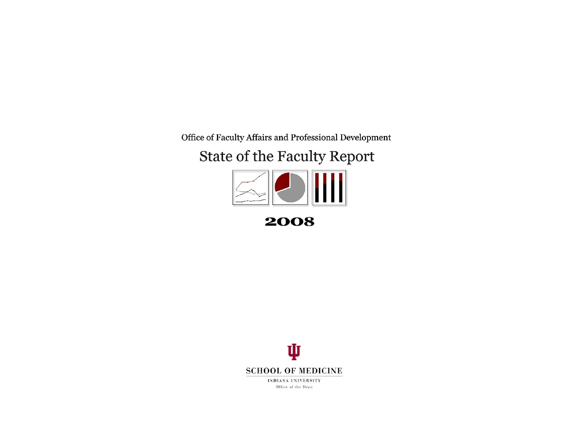<span id="page-0-0"></span>Office of Faculty Affairs and Professional Development

## State of the Faculty Report



2008

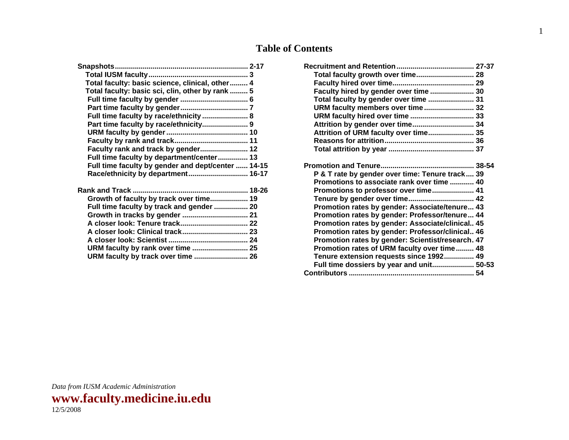### **Table of Contents**

| Total faculty: basic science, clinical, other 4    |  |
|----------------------------------------------------|--|
| Total faculty: basic sci, clin, other by rank  5   |  |
|                                                    |  |
|                                                    |  |
| Full time faculty by race/ethnicity  8             |  |
|                                                    |  |
|                                                    |  |
|                                                    |  |
| Faculty rank and track by gender 12                |  |
| Full time faculty by department/center 13          |  |
| Full time faculty by gender and dept/center  14-15 |  |
| Race/ethnicity by department 16-17                 |  |
|                                                    |  |
| Growth of faculty by track over time 19            |  |
| Full time faculty by track and gender  20          |  |
|                                                    |  |
|                                                    |  |
|                                                    |  |
|                                                    |  |
| URM faculty by rank over time  25                  |  |
| URM faculty by track over time  26                 |  |
|                                                    |  |

| Total faculty growth over time 28                 |  |
|---------------------------------------------------|--|
|                                                   |  |
| Faculty hired by gender over time  30             |  |
| Total faculty by gender over time  31             |  |
| URM faculty members over time 32                  |  |
| URM faculty hired over time  33                   |  |
| Attrition by gender over time 34                  |  |
| Attrition of URM faculty over time 35             |  |
|                                                   |  |
|                                                   |  |
|                                                   |  |
|                                                   |  |
| P & T rate by gender over time: Tenure track 39   |  |
| Promotions to associate rank over time  40        |  |
|                                                   |  |
| Promotions to professor over time 41              |  |
| Tenure by gender over time 42                     |  |
| Promotion rates by gender: Associate/tenure 43    |  |
| Promotion rates by gender: Professor/tenure 44    |  |
| Promotion rates by gender: Associate/clinical 45  |  |
| Promotion rates by gender: Professor/clinical 46  |  |
| Promotion rates by gender: Scientist/research. 47 |  |
| Promotion rates of URM faculty over time 48       |  |
| Tenure extension requests since 1992 49           |  |
| Full time dossiers by year and unit 50-53         |  |
|                                                   |  |

1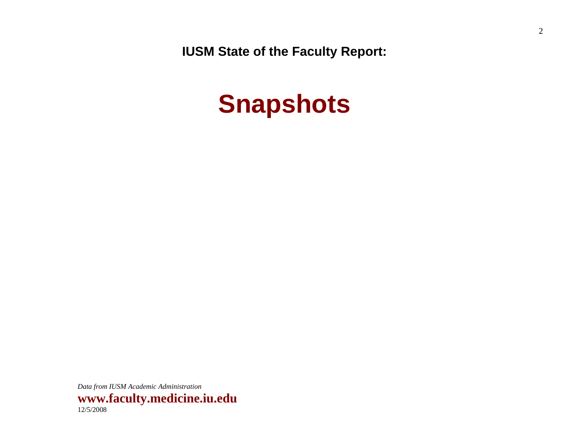<span id="page-2-0"></span>**IUSM State of the Faculty Report:** 

# **Snapshots**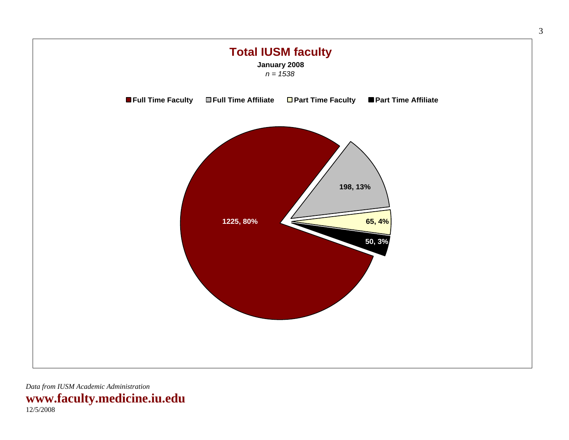<span id="page-3-0"></span>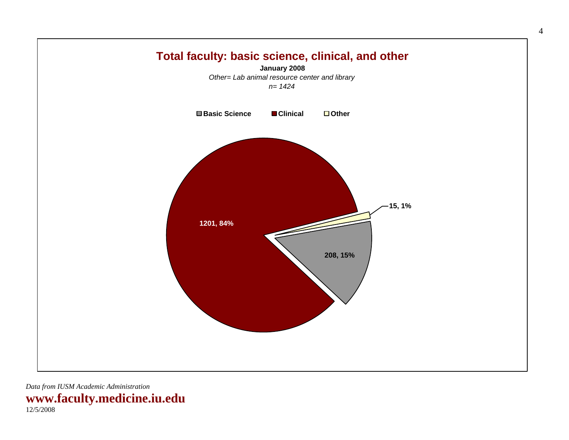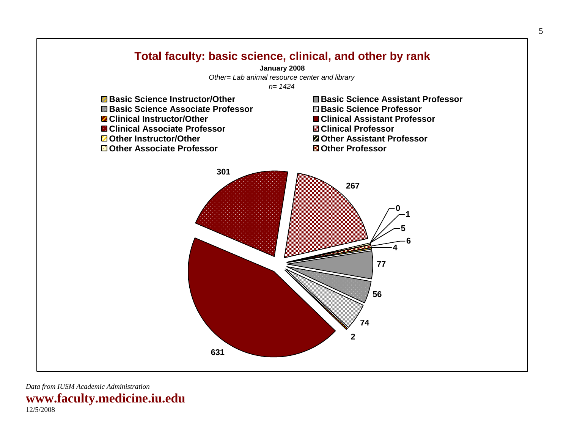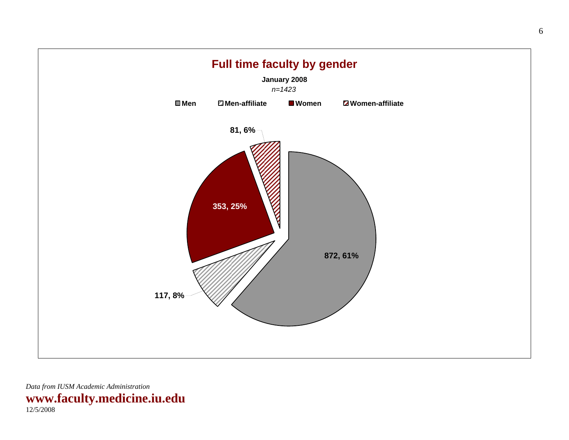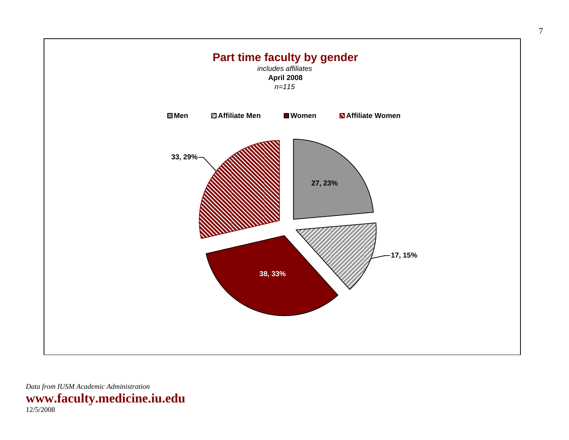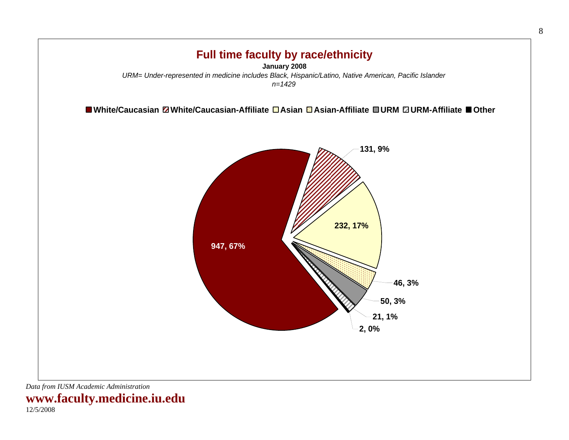

**www.faculty.medicine.iu.edu**  12/5/2008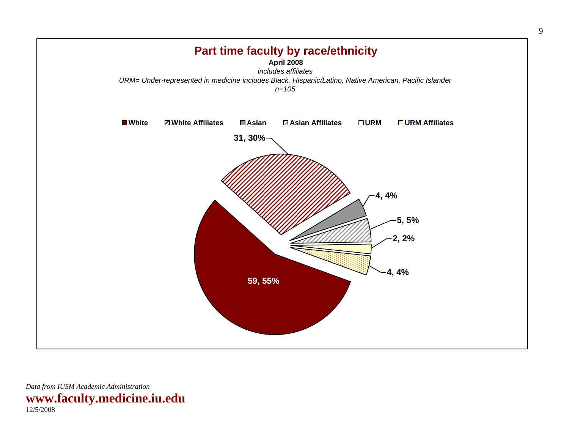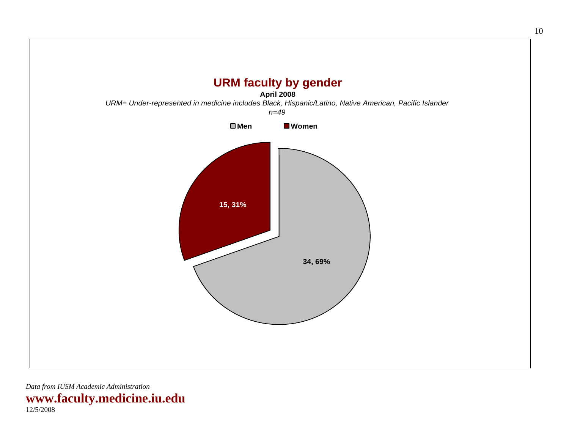<span id="page-10-0"></span>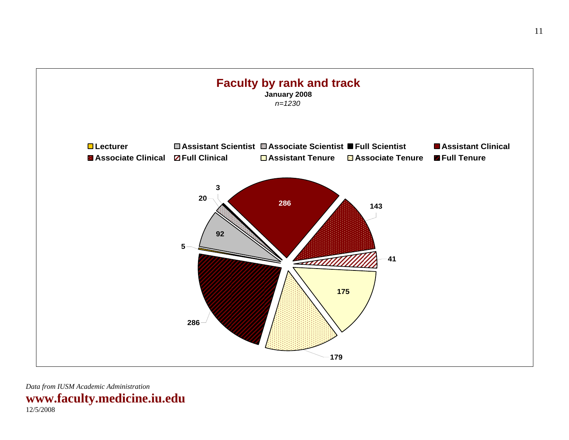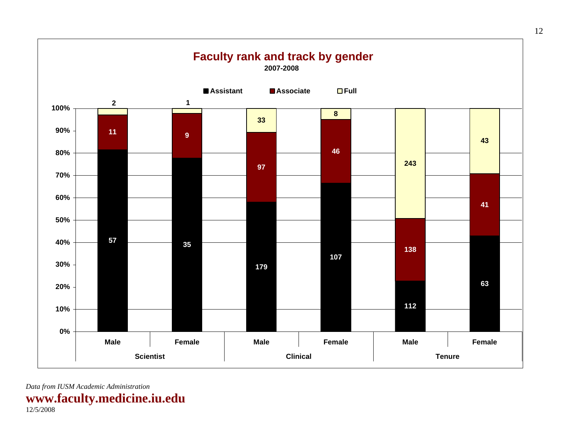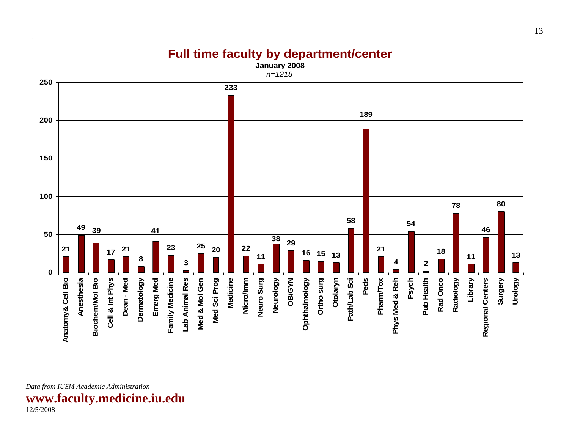<span id="page-13-0"></span>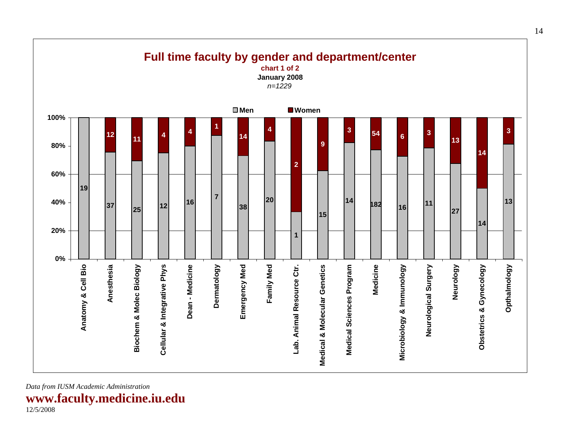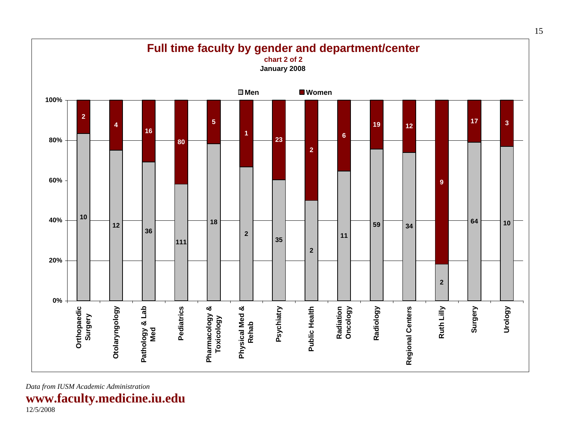

**www.faculty.medicine.iu.edu**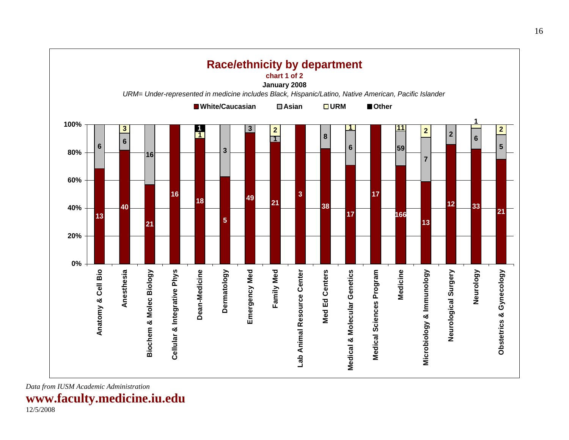<span id="page-16-0"></span>

**www.faculty.medicine.iu.edu**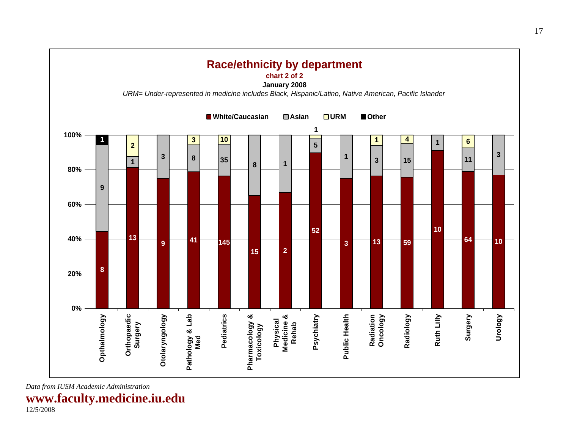

**www.faculty.medicine.iu.edu**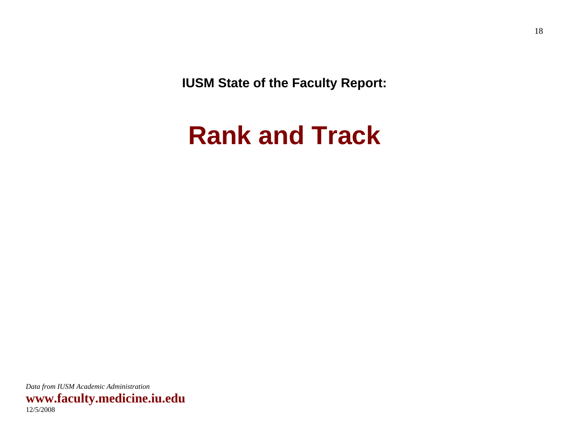<span id="page-18-0"></span>**IUSM State of the Faculty Report:** 

# **Rank and Track**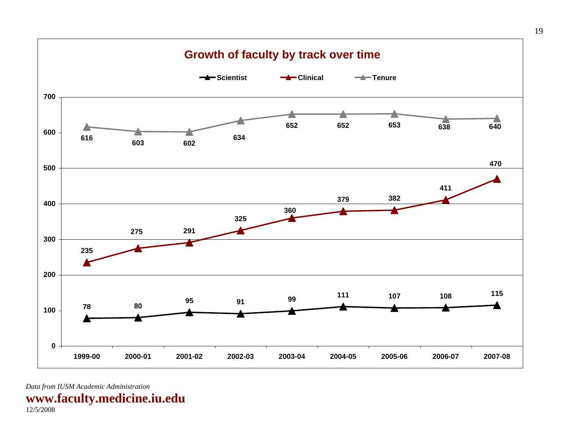<span id="page-19-0"></span>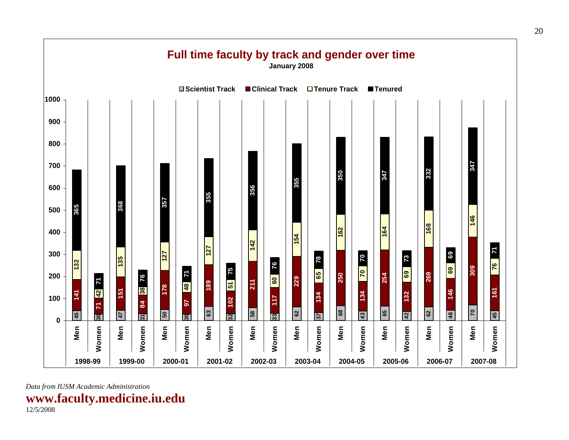

**www.faculty.medicine.iu.edu**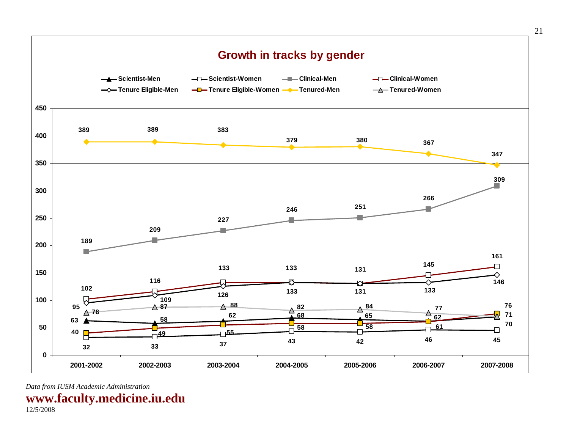

**www.faculty.medicine.iu.edu**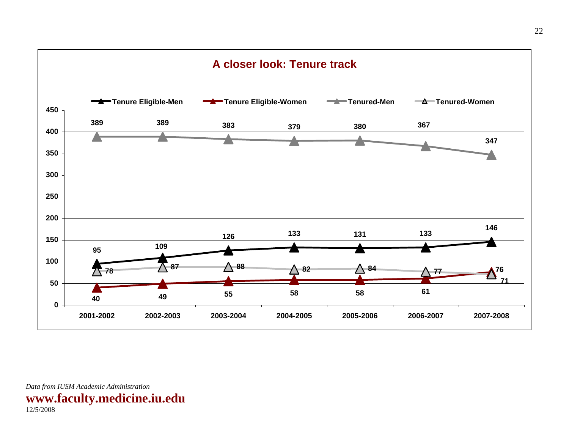<span id="page-22-0"></span>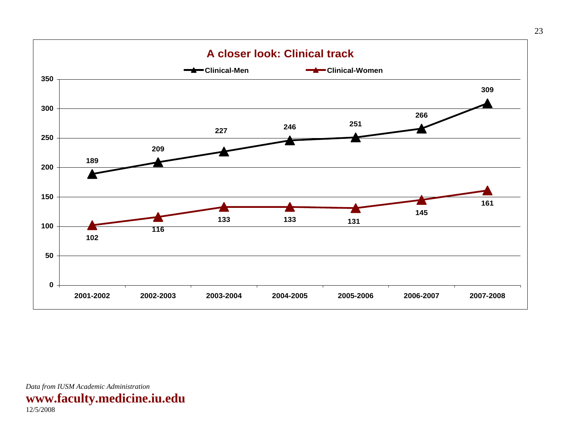<span id="page-23-0"></span>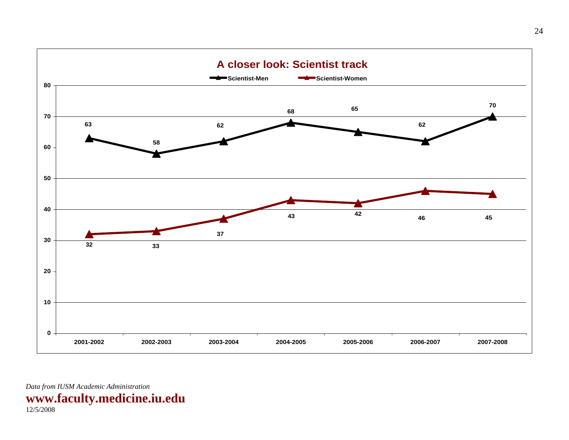<span id="page-24-0"></span>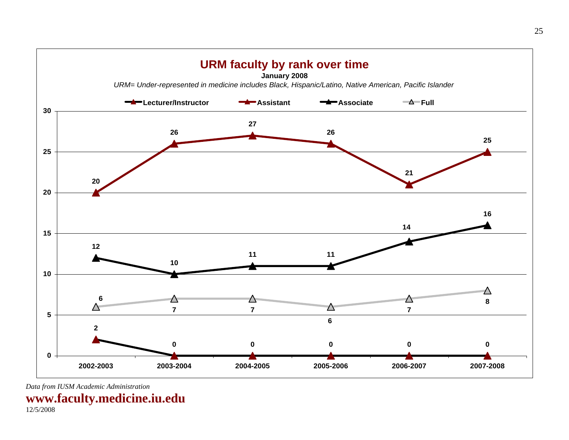

**www.faculty.medicine.iu.edu**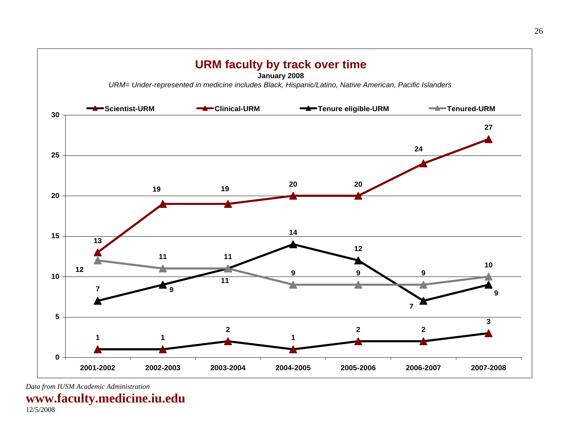<span id="page-26-0"></span>

**www.faculty.medicine.iu.edu**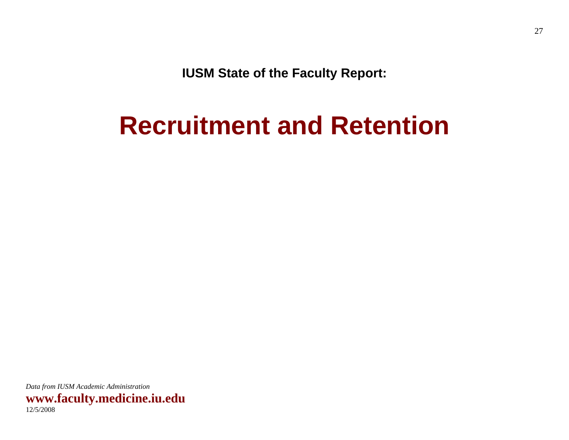**IUSM State of the Faculty Report:** 

# <span id="page-27-0"></span>**Recruitment and Retention**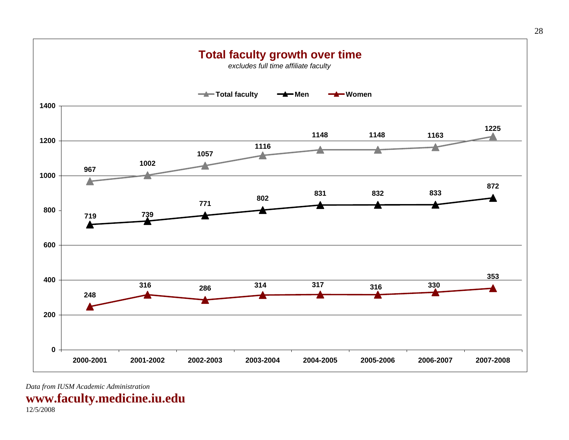<span id="page-28-0"></span>

**www.faculty.medicine.iu.edu**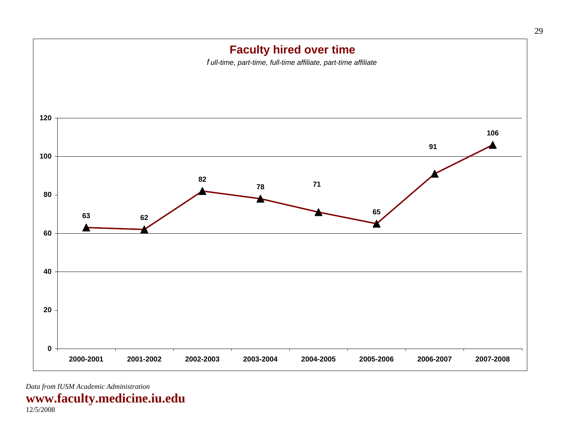<span id="page-29-0"></span>

**www.faculty.medicine.iu.edu**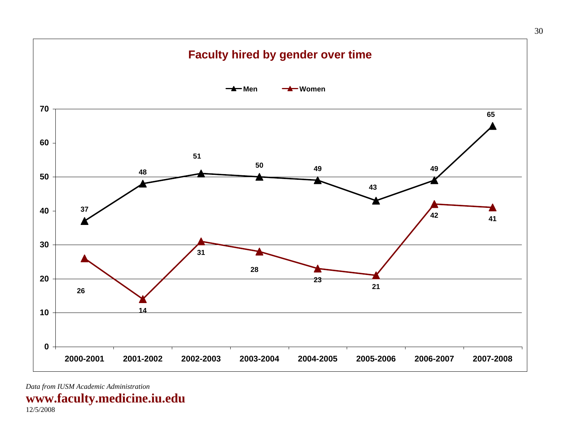<span id="page-30-0"></span>

**www.faculty.medicine.iu.edu**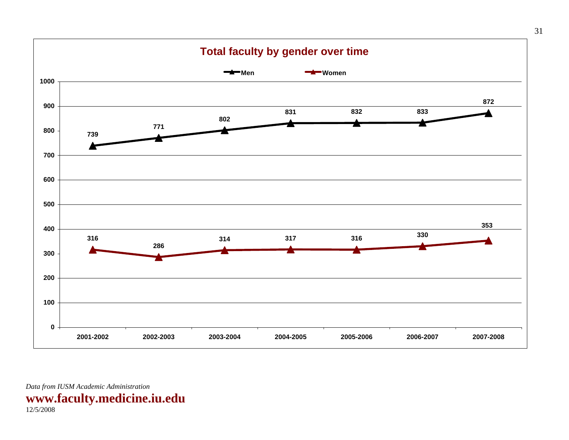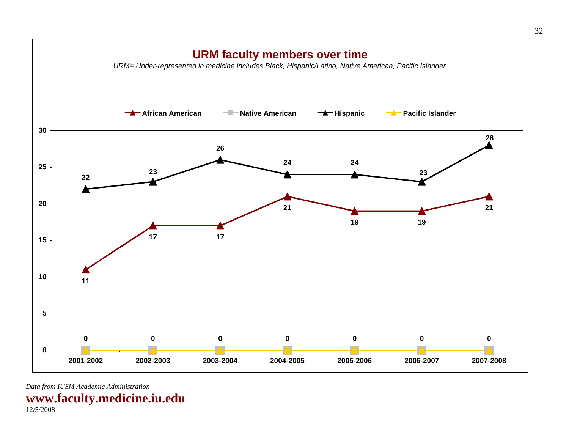<span id="page-32-0"></span>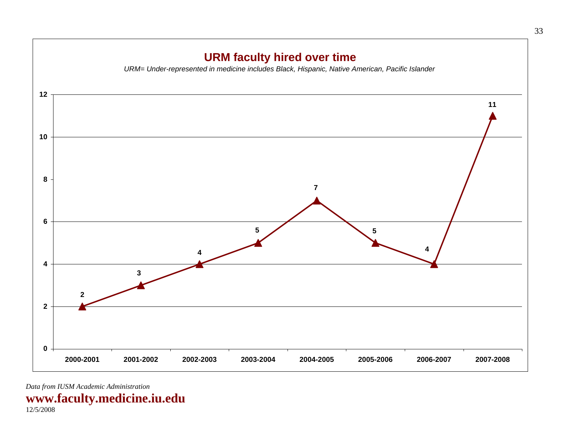<span id="page-33-0"></span>

**www.faculty.medicine.iu.edu**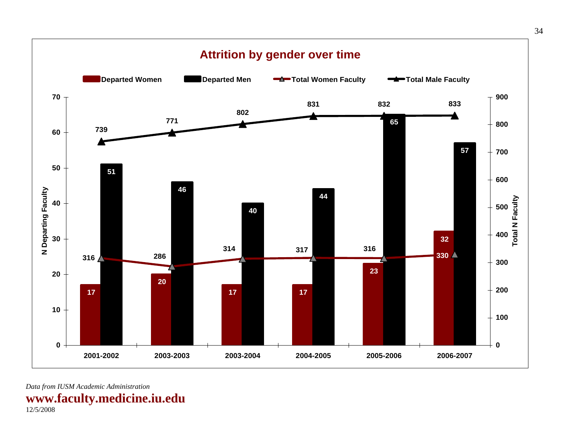<span id="page-34-0"></span>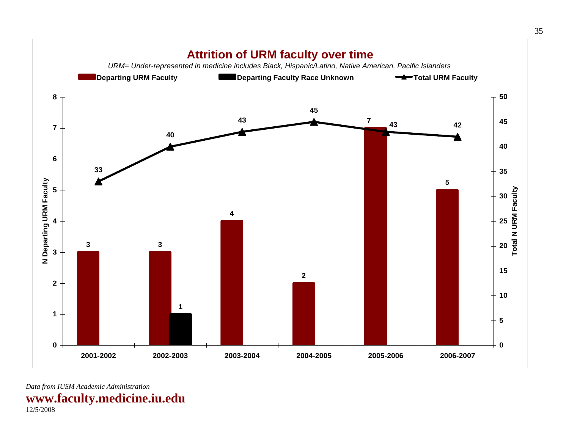<span id="page-35-0"></span>

*Data from IUSM Academic Administration*  **www.faculty.medicine.iu.edu**  12/5/2008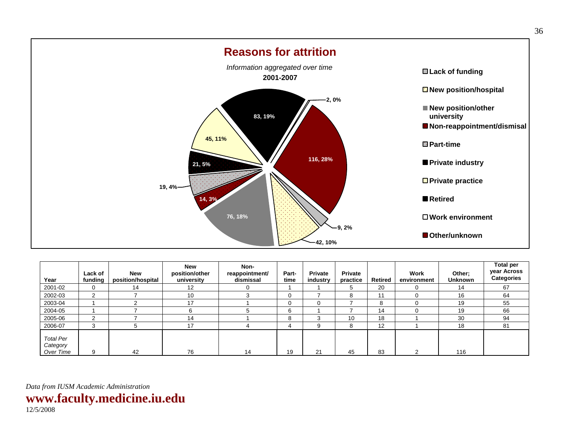<span id="page-36-0"></span>

| Year                                      | Lack of<br>funding | <b>New</b><br>position/hospital | <b>New</b><br>position/other<br>university | Non-<br>reappointment/<br>dismissal | Part-<br>time | <b>Private</b><br>industry | <b>Private</b><br>practice | Retired | Work<br>environment | Other;<br><b>Unknown</b> | <b>Total per</b><br>year Across<br><b>Categories</b> |
|-------------------------------------------|--------------------|---------------------------------|--------------------------------------------|-------------------------------------|---------------|----------------------------|----------------------------|---------|---------------------|--------------------------|------------------------------------------------------|
| 2001-02                                   | 0                  | 14                              | $12 \overline{ }$                          |                                     |               |                            | 5                          | 20      | 0                   | 14                       | 67                                                   |
| 2002-03                                   | 2                  |                                 | 10                                         |                                     | 0             |                            | 8                          |         | 0                   | 16                       | 64                                                   |
| 2003-04                                   |                    | $\overline{ }$                  | 17                                         |                                     | 0             | 0                          |                            | 8       |                     | 19                       | 55                                                   |
| 2004-05                                   |                    |                                 |                                            |                                     | 6             |                            |                            | 14      |                     | 19                       | 66                                                   |
| 2005-06                                   | っ                  |                                 | 14                                         |                                     | 8             | 3                          | 10                         | 18      |                     | 30                       | 94                                                   |
| 2006-07                                   | 3                  | 5                               | 17                                         |                                     |               | 9                          | 8                          | 12      |                     | 18                       | 81                                                   |
| <b>Total Per</b><br>Category<br>Over Time | 9                  | 42                              | 76                                         | 14                                  | 19            | 21                         | 45                         | 83      | ⌒                   | 116                      |                                                      |

**www.faculty.medicine.iu.edu**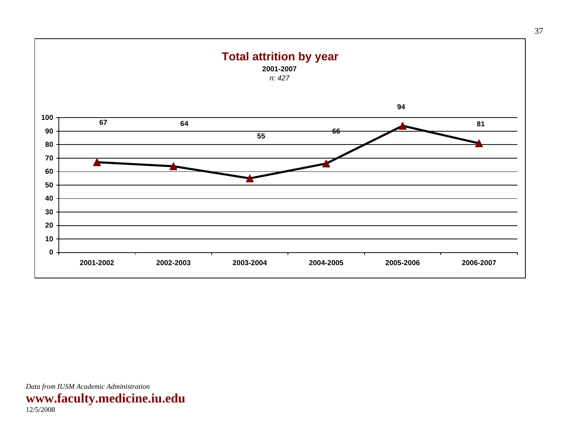<span id="page-37-0"></span>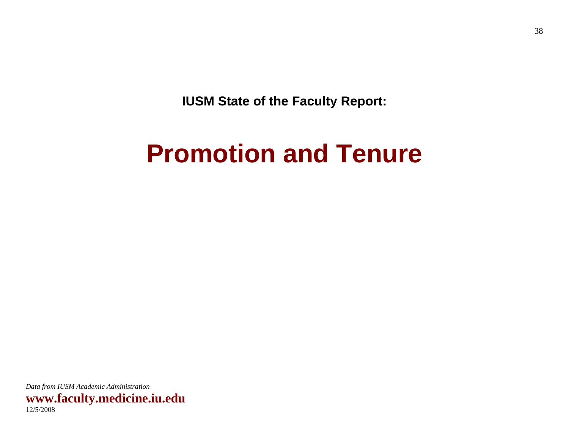<span id="page-38-0"></span>**IUSM State of the Faculty Report:** 

# **Promotion and Tenure**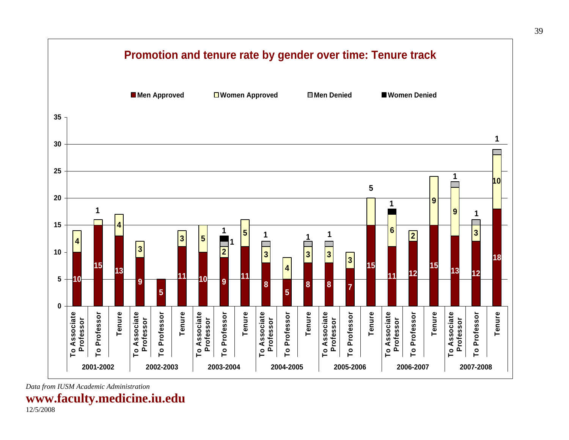

**www.faculty.medicine.iu.edu**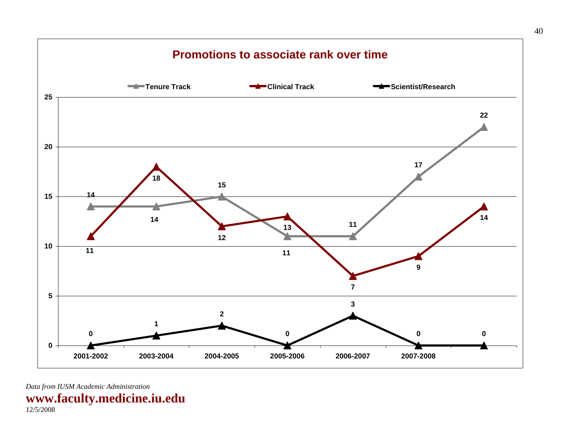<span id="page-40-0"></span>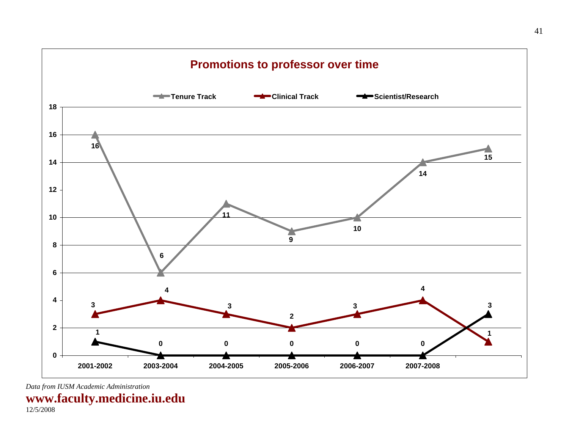<span id="page-41-0"></span>

**www.faculty.medicine.iu.edu**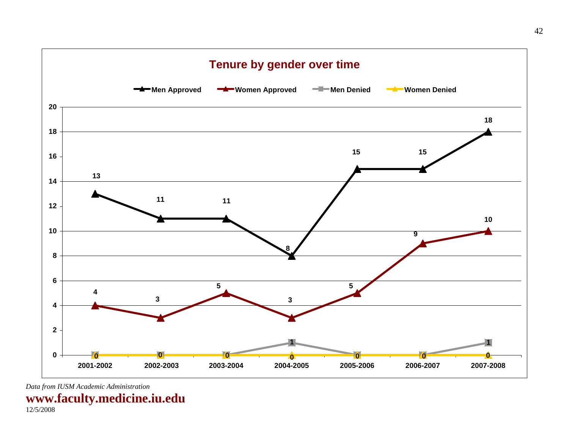<span id="page-42-0"></span>

**www.faculty.medicine.iu.edu**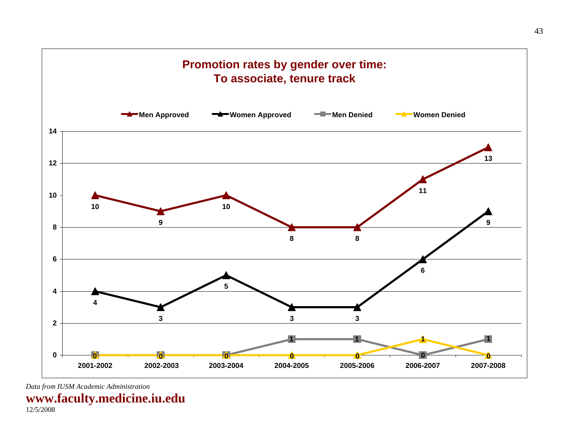<span id="page-43-0"></span>

**www.faculty.medicine.iu.edu**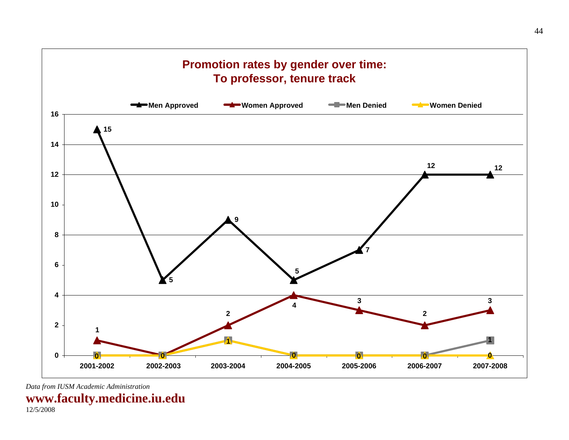<span id="page-44-0"></span>

**www.faculty.medicine.iu.edu**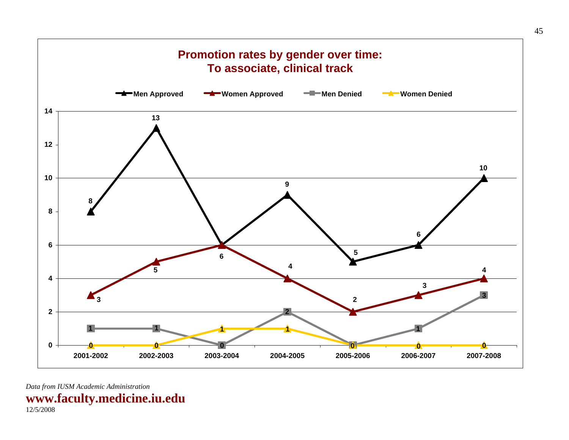<span id="page-45-0"></span>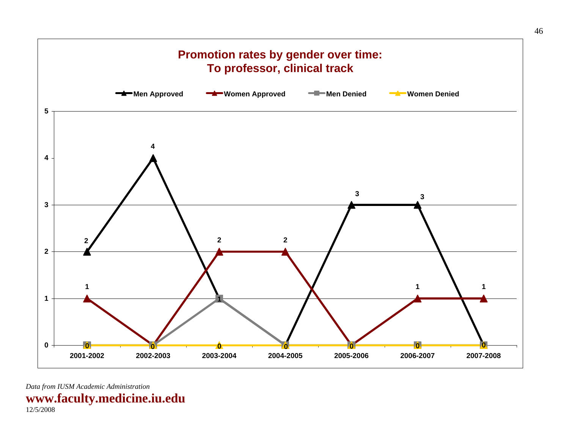<span id="page-46-0"></span>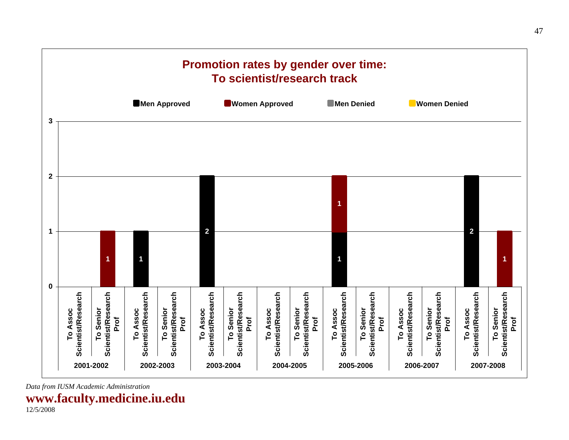<span id="page-47-0"></span>

**www.faculty.medicine.iu.edu**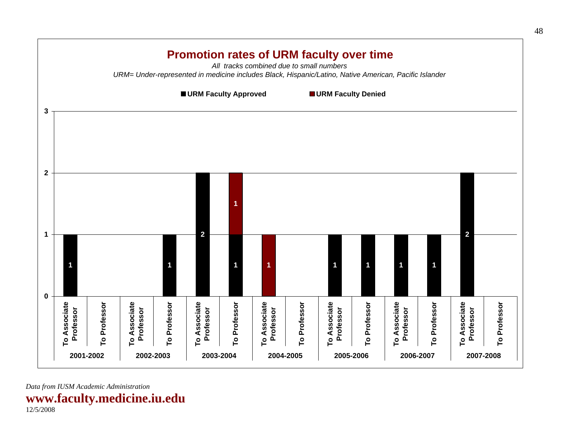<span id="page-48-0"></span>

**www.faculty.medicine.iu.edu**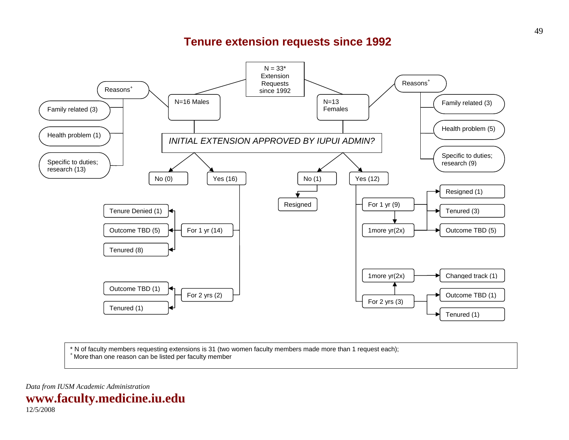### **Tenure extension requests since 1992**

<span id="page-49-0"></span>

\* N of faculty members requesting extensions is 31 (two women faculty members made more than 1 request each); + More than one reason can be listed per faculty member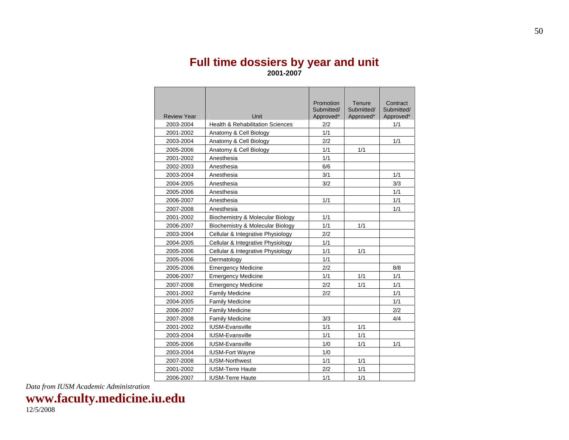### **Full time dossiers by year and unit 2001-2007**

<span id="page-50-0"></span>

|                    |                                             | Promotion               | Tenure                  | Contract                |
|--------------------|---------------------------------------------|-------------------------|-------------------------|-------------------------|
| <b>Review Year</b> | Unit                                        | Submitted/<br>Approved* | Submitted/<br>Approved* | Submitted/<br>Approved* |
| 2003-2004          | <b>Health &amp; Rehabilitation Sciences</b> | 2/2                     |                         | 1/1                     |
| 2001-2002          | Anatomy & Cell Biology                      | 1/1                     |                         |                         |
| 2003-2004          | Anatomy & Cell Biology                      | 2/2                     |                         | 1/1                     |
| 2005-2006          | Anatomy & Cell Biology                      | 1/1                     | 1/1                     |                         |
| 2001-2002          | Anesthesia                                  | 1/1                     |                         |                         |
| 2002-2003          | Anesthesia                                  | 6/6                     |                         |                         |
| 2003-2004          | Anesthesia                                  | 3/1                     |                         | 1/1                     |
| 2004-2005          | Anesthesia                                  | 3/2                     |                         | 3/3                     |
| 2005-2006          | Anesthesia                                  |                         |                         | 1/1                     |
| 2006-2007          | Anesthesia                                  | 1/1                     |                         | 1/1                     |
| 2007-2008          | Anesthesia                                  |                         |                         | 1/1                     |
| 2001-2002          | Biochemistry & Molecular Biology            | 1/1                     |                         |                         |
| 2006-2007          | Biochemistry & Molecular Biology            | 1/1                     | 1/1                     |                         |
| 2003-2004          | Cellular & Integrative Physiology           | 2/2                     |                         |                         |
| 2004-2005          | Cellular & Integrative Physiology           | 1/1                     |                         |                         |
| 2005-2006          | Cellular & Integrative Physiology           | 1/1                     | 1/1                     |                         |
| 2005-2006          | Dermatology                                 | 1/1                     |                         |                         |
| 2005-2006          | <b>Emergency Medicine</b>                   | 2/2                     |                         | 8/8                     |
| 2006-2007          | <b>Emergency Medicine</b>                   | 1/1                     | 1/1                     | 1/1                     |
| 2007-2008          | <b>Emergency Medicine</b>                   | 2/2                     | 1/1                     | 1/1                     |
| 2001-2002          | <b>Family Medicine</b>                      | 2/2                     |                         | 1/1                     |
| 2004-2005          | <b>Family Medicine</b>                      |                         |                         | 1/1                     |
| 2006-2007          | <b>Family Medicine</b>                      |                         |                         | 2/2                     |
| 2007-2008          | <b>Family Medicine</b>                      | 3/3                     |                         | 4/4                     |
| 2001-2002          | <b>IUSM-Evansville</b>                      | 1/1                     | 1/1                     |                         |
| 2003-2004          | <b>IUSM-Evansville</b>                      | 1/1                     | 1/1                     |                         |
| 2005-2006          | <b>IUSM-Evansville</b>                      | 1/0                     | 1/1                     | 1/1                     |
| 2003-2004          | <b>IUSM-Fort Wayne</b>                      | 1/0                     |                         |                         |
| 2007-2008          | <b>IUSM-Northwest</b>                       | 1/1                     | 1/1                     |                         |
| 2001-2002          | <b>IUSM-Terre Haute</b>                     | 2/2                     | 1/1                     |                         |
| 2006-2007          | <b>IUSM-Terre Haute</b>                     | 1/1                     | 1/1                     |                         |

*Data from IUSM Academic Administration* 

**www.faculty.medicine.iu.edu**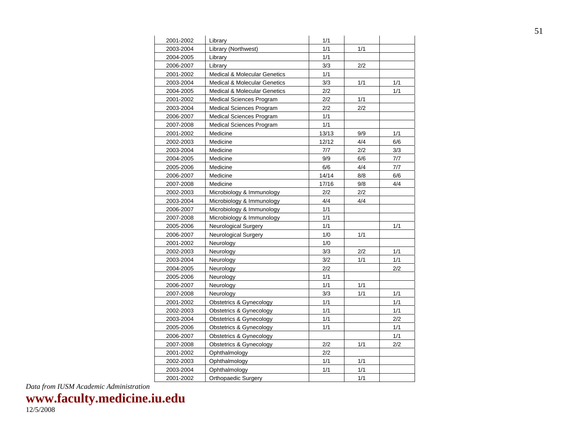| 2001-2002 | Library                                 | 1/1   |     |     |
|-----------|-----------------------------------------|-------|-----|-----|
| 2003-2004 | Library (Northwest)                     | 1/1   | 1/1 |     |
| 2004-2005 | Library                                 | 1/1   |     |     |
| 2006-2007 | Library                                 | 3/3   | 2/2 |     |
| 2001-2002 | <b>Medical &amp; Molecular Genetics</b> | 1/1   |     |     |
| 2003-2004 | <b>Medical &amp; Molecular Genetics</b> | 3/3   | 1/1 | 1/1 |
| 2004-2005 | <b>Medical &amp; Molecular Genetics</b> | 2/2   |     | 1/1 |
| 2001-2002 | <b>Medical Sciences Program</b>         | 2/2   | 1/1 |     |
| 2003-2004 | <b>Medical Sciences Program</b>         | 2/2   | 2/2 |     |
| 2006-2007 | <b>Medical Sciences Program</b>         | 1/1   |     |     |
| 2007-2008 | <b>Medical Sciences Program</b>         | 1/1   |     |     |
| 2001-2002 | Medicine                                | 13/13 | 9/9 | 1/1 |
| 2002-2003 | Medicine                                | 12/12 | 4/4 | 6/6 |
| 2003-2004 | Medicine                                | 7/7   | 2/2 | 3/3 |
| 2004-2005 | Medicine                                | 9/9   | 6/6 | 7/7 |
| 2005-2006 | Medicine                                | 6/6   | 4/4 | 7/7 |
| 2006-2007 | Medicine                                | 14/14 | 8/8 | 6/6 |
| 2007-2008 | Medicine                                | 17/16 | 9/8 | 4/4 |
| 2002-2003 | Microbiology & Immunology               | 2/2   | 2/2 |     |
| 2003-2004 | Microbiology & Immunology               | 4/4   | 4/4 |     |
| 2006-2007 | Microbiology & Immunology               | 1/1   |     |     |
| 2007-2008 | Microbiology & Immunology               | 1/1   |     |     |
| 2005-2006 | Neurological Surgery                    | 1/1   |     | 1/1 |
| 2006-2007 | Neurological Surgery                    | 1/0   | 1/1 |     |
| 2001-2002 | Neurology                               | 1/0   |     |     |
| 2002-2003 | Neurology                               | 3/3   | 2/2 | 1/1 |
| 2003-2004 | Neurology                               | 3/2   | 1/1 | 1/1 |
| 2004-2005 | Neurology                               | 2/2   |     | 2/2 |
| 2005-2006 | Neurology                               | 1/1   |     |     |
| 2006-2007 | Neurology                               | 1/1   | 1/1 |     |
| 2007-2008 | Neurology                               | 3/3   | 1/1 | 1/1 |
| 2001-2002 | Obstetrics & Gynecology                 | 1/1   |     | 1/1 |
| 2002-2003 | Obstetrics & Gynecology                 | 1/1   |     | 1/1 |
| 2003-2004 | Obstetrics & Gynecology                 | 1/1   |     | 2/2 |
| 2005-2006 | <b>Obstetrics &amp; Gynecology</b>      | 1/1   |     | 1/1 |
| 2006-2007 | Obstetrics & Gynecology                 |       |     | 1/1 |
| 2007-2008 | <b>Obstetrics &amp; Gynecology</b>      | 2/2   | 1/1 | 2/2 |
| 2001-2002 | Ophthalmology                           | 2/2   |     |     |
| 2002-2003 | Ophthalmology                           | 1/1   | 1/1 |     |
| 2003-2004 | Ophthalmology                           | 1/1   | 1/1 |     |
| 2001-2002 | Orthopaedic Surgery                     |       | 1/1 |     |

**www.faculty.medicine.iu.edu**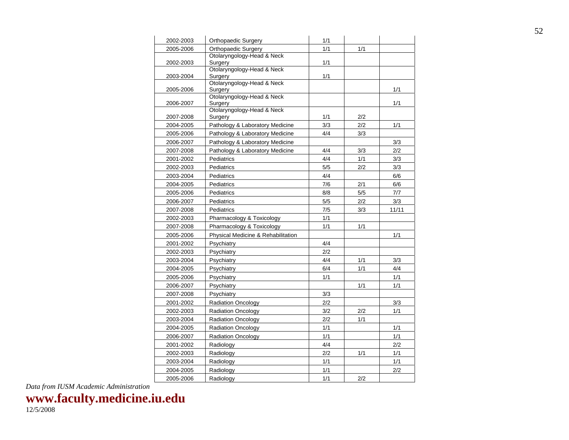| Orthopaedic Surgery                | 1/1                                                                                                                                                                                                                                                                                                                                                                                                                                                                                                                                                                            |                                                                                                       |                                                                    |
|------------------------------------|--------------------------------------------------------------------------------------------------------------------------------------------------------------------------------------------------------------------------------------------------------------------------------------------------------------------------------------------------------------------------------------------------------------------------------------------------------------------------------------------------------------------------------------------------------------------------------|-------------------------------------------------------------------------------------------------------|--------------------------------------------------------------------|
| Orthopaedic Surgery                | 1/1                                                                                                                                                                                                                                                                                                                                                                                                                                                                                                                                                                            | 1/1                                                                                                   |                                                                    |
| Otolaryngology-Head & Neck         |                                                                                                                                                                                                                                                                                                                                                                                                                                                                                                                                                                                |                                                                                                       |                                                                    |
|                                    |                                                                                                                                                                                                                                                                                                                                                                                                                                                                                                                                                                                |                                                                                                       |                                                                    |
|                                    |                                                                                                                                                                                                                                                                                                                                                                                                                                                                                                                                                                                |                                                                                                       |                                                                    |
|                                    |                                                                                                                                                                                                                                                                                                                                                                                                                                                                                                                                                                                |                                                                                                       |                                                                    |
| Surgery                            |                                                                                                                                                                                                                                                                                                                                                                                                                                                                                                                                                                                |                                                                                                       | 1/1                                                                |
| Otolaryngology-Head & Neck         |                                                                                                                                                                                                                                                                                                                                                                                                                                                                                                                                                                                |                                                                                                       |                                                                    |
|                                    |                                                                                                                                                                                                                                                                                                                                                                                                                                                                                                                                                                                |                                                                                                       | 1/1                                                                |
|                                    |                                                                                                                                                                                                                                                                                                                                                                                                                                                                                                                                                                                |                                                                                                       |                                                                    |
|                                    |                                                                                                                                                                                                                                                                                                                                                                                                                                                                                                                                                                                |                                                                                                       |                                                                    |
|                                    |                                                                                                                                                                                                                                                                                                                                                                                                                                                                                                                                                                                |                                                                                                       | 1/1                                                                |
|                                    |                                                                                                                                                                                                                                                                                                                                                                                                                                                                                                                                                                                |                                                                                                       |                                                                    |
|                                    |                                                                                                                                                                                                                                                                                                                                                                                                                                                                                                                                                                                |                                                                                                       | 3/3                                                                |
|                                    |                                                                                                                                                                                                                                                                                                                                                                                                                                                                                                                                                                                |                                                                                                       | 2/2                                                                |
|                                    |                                                                                                                                                                                                                                                                                                                                                                                                                                                                                                                                                                                |                                                                                                       | 3/3                                                                |
| Pediatrics                         | 5/5                                                                                                                                                                                                                                                                                                                                                                                                                                                                                                                                                                            | 2/2                                                                                                   | 3/3                                                                |
| Pediatrics                         | 4/4                                                                                                                                                                                                                                                                                                                                                                                                                                                                                                                                                                            |                                                                                                       | 6/6                                                                |
| Pediatrics                         | 7/6                                                                                                                                                                                                                                                                                                                                                                                                                                                                                                                                                                            | 2/1                                                                                                   | 6/6                                                                |
| Pediatrics                         | 8/8                                                                                                                                                                                                                                                                                                                                                                                                                                                                                                                                                                            | 5/5                                                                                                   | 7/7                                                                |
| Pediatrics                         | 5/5                                                                                                                                                                                                                                                                                                                                                                                                                                                                                                                                                                            | 2/2                                                                                                   | 3/3                                                                |
| Pediatrics                         | 7/5                                                                                                                                                                                                                                                                                                                                                                                                                                                                                                                                                                            | 3/3                                                                                                   | 11/11                                                              |
| Pharmacology & Toxicology          | 1/1                                                                                                                                                                                                                                                                                                                                                                                                                                                                                                                                                                            |                                                                                                       |                                                                    |
|                                    | 1/1                                                                                                                                                                                                                                                                                                                                                                                                                                                                                                                                                                            | 1/1                                                                                                   |                                                                    |
| Physical Medicine & Rehabilitation |                                                                                                                                                                                                                                                                                                                                                                                                                                                                                                                                                                                |                                                                                                       | 1/1                                                                |
| Psychiatry                         | 4/4                                                                                                                                                                                                                                                                                                                                                                                                                                                                                                                                                                            |                                                                                                       |                                                                    |
|                                    | 2/2                                                                                                                                                                                                                                                                                                                                                                                                                                                                                                                                                                            |                                                                                                       |                                                                    |
| Psychiatry                         | 4/4                                                                                                                                                                                                                                                                                                                                                                                                                                                                                                                                                                            | 1/1                                                                                                   | 3/3                                                                |
| Psychiatry                         | 6/4                                                                                                                                                                                                                                                                                                                                                                                                                                                                                                                                                                            | 1/1                                                                                                   | 4/4                                                                |
|                                    |                                                                                                                                                                                                                                                                                                                                                                                                                                                                                                                                                                                |                                                                                                       | 1/1                                                                |
|                                    |                                                                                                                                                                                                                                                                                                                                                                                                                                                                                                                                                                                |                                                                                                       | 1/1                                                                |
| Psychiatry                         | 3/3                                                                                                                                                                                                                                                                                                                                                                                                                                                                                                                                                                            |                                                                                                       |                                                                    |
|                                    | 2/2                                                                                                                                                                                                                                                                                                                                                                                                                                                                                                                                                                            |                                                                                                       | 3/3                                                                |
|                                    |                                                                                                                                                                                                                                                                                                                                                                                                                                                                                                                                                                                |                                                                                                       | 1/1                                                                |
|                                    |                                                                                                                                                                                                                                                                                                                                                                                                                                                                                                                                                                                |                                                                                                       |                                                                    |
|                                    |                                                                                                                                                                                                                                                                                                                                                                                                                                                                                                                                                                                |                                                                                                       | 1/1                                                                |
|                                    |                                                                                                                                                                                                                                                                                                                                                                                                                                                                                                                                                                                |                                                                                                       | 1/1                                                                |
|                                    | 4/4                                                                                                                                                                                                                                                                                                                                                                                                                                                                                                                                                                            |                                                                                                       | 2/2                                                                |
|                                    | 2/2                                                                                                                                                                                                                                                                                                                                                                                                                                                                                                                                                                            |                                                                                                       | 1/1                                                                |
|                                    |                                                                                                                                                                                                                                                                                                                                                                                                                                                                                                                                                                                |                                                                                                       | 1/1                                                                |
|                                    |                                                                                                                                                                                                                                                                                                                                                                                                                                                                                                                                                                                |                                                                                                       | 2/2                                                                |
|                                    |                                                                                                                                                                                                                                                                                                                                                                                                                                                                                                                                                                                |                                                                                                       |                                                                    |
|                                    | Surgery<br>Otolaryngology-Head & Neck<br>Surgery<br>Otolaryngology-Head & Neck<br>Surgery<br>Otolaryngology-Head & Neck<br>Surgery<br>Pathology & Laboratory Medicine<br>Pathology & Laboratory Medicine<br>Pathology & Laboratory Medicine<br>Pathology & Laboratory Medicine<br>Pediatrics<br>Pharmacology & Toxicology<br>Psychiatry<br>Psychiatry<br>Psychiatry<br><b>Radiation Oncology</b><br><b>Radiation Oncology</b><br>Radiation Oncology<br><b>Radiation Oncology</b><br><b>Radiation Oncology</b><br>Radiology<br>Radiology<br>Radiology<br>Radiology<br>Radiology | 1/1<br>1/1<br>1/1<br>3/3<br>4/4<br>4/4<br>4/4<br>1/1<br>3/2<br>2/2<br>1/1<br>1/1<br>1/1<br>1/1<br>1/1 | 2/2<br>2/2<br>3/3<br>3/3<br>1/1<br>1/1<br>2/2<br>1/1<br>1/1<br>2/2 |

**www.faculty.medicine.iu.edu**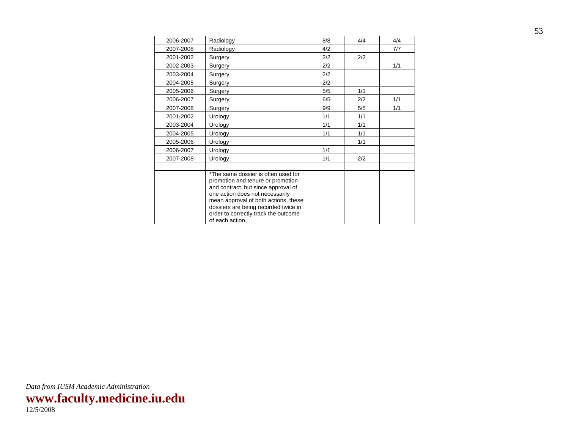| 2006-2007 | Radiology                                                                                                                                                                                                                                                                                     | 8/8 | 4/4 | 4/4 |
|-----------|-----------------------------------------------------------------------------------------------------------------------------------------------------------------------------------------------------------------------------------------------------------------------------------------------|-----|-----|-----|
| 2007-2008 | Radiology                                                                                                                                                                                                                                                                                     | 4/2 |     | 7/7 |
| 2001-2002 | Surgery                                                                                                                                                                                                                                                                                       | 2/2 | 2/2 |     |
| 2002-2003 | Surgery                                                                                                                                                                                                                                                                                       | 2/2 |     | 1/1 |
| 2003-2004 | Surgery                                                                                                                                                                                                                                                                                       | 2/2 |     |     |
| 2004-2005 | Surgery                                                                                                                                                                                                                                                                                       | 2/2 |     |     |
| 2005-2006 | Surgery                                                                                                                                                                                                                                                                                       | 5/5 | 1/1 |     |
| 2006-2007 | Surgery                                                                                                                                                                                                                                                                                       | 6/5 | 2/2 | 1/1 |
| 2007-2008 | Surgery                                                                                                                                                                                                                                                                                       | 9/9 | 5/5 | 1/1 |
| 2001-2002 | Urology                                                                                                                                                                                                                                                                                       | 1/1 | 1/1 |     |
| 2003-2004 | Urology                                                                                                                                                                                                                                                                                       | 1/1 | 1/1 |     |
| 2004-2005 | Urology                                                                                                                                                                                                                                                                                       | 1/1 | 1/1 |     |
| 2005-2006 | Urology                                                                                                                                                                                                                                                                                       |     | 1/1 |     |
| 2006-2007 | Urology                                                                                                                                                                                                                                                                                       | 1/1 |     |     |
| 2007-2008 | Urology                                                                                                                                                                                                                                                                                       | 1/1 | 2/2 |     |
|           | *The same dossier is often used for<br>promotion and tenure or promotion<br>and contract, but since approval of<br>one action does not necessarily<br>mean approval of both actions, these<br>dossiers are being recorded twice in<br>order to correctly track the outcome<br>of each action. |     |     |     |